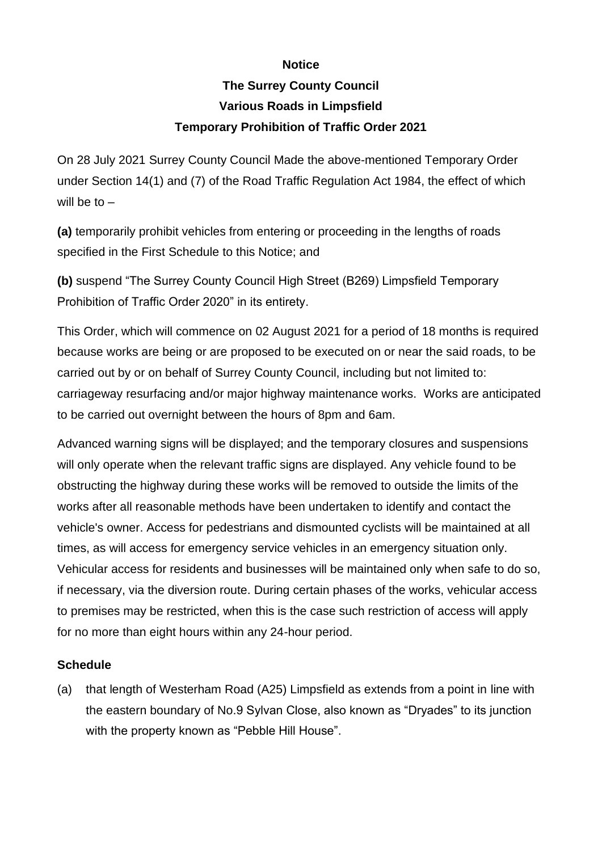## **Notice**

## **The Surrey County Council Various Roads in Limpsfield Temporary Prohibition of Traffic Order 2021**

On 28 July 2021 Surrey County Council Made the above-mentioned Temporary Order under Section 14(1) and (7) of the Road Traffic Regulation Act 1984, the effect of which will be to –

**(a)** temporarily prohibit vehicles from entering or proceeding in the lengths of roads specified in the First Schedule to this Notice; and

**(b)** suspend "The Surrey County Council High Street (B269) Limpsfield Temporary Prohibition of Traffic Order 2020" in its entirety.

This Order, which will commence on 02 August 2021 for a period of 18 months is required because works are being or are proposed to be executed on or near the said roads, to be carried out by or on behalf of Surrey County Council, including but not limited to: carriageway resurfacing and/or major highway maintenance works. Works are anticipated to be carried out overnight between the hours of 8pm and 6am.

Advanced warning signs will be displayed; and the temporary closures and suspensions will only operate when the relevant traffic signs are displayed. Any vehicle found to be obstructing the highway during these works will be removed to outside the limits of the works after all reasonable methods have been undertaken to identify and contact the vehicle's owner. Access for pedestrians and dismounted cyclists will be maintained at all times, as will access for emergency service vehicles in an emergency situation only. Vehicular access for residents and businesses will be maintained only when safe to do so, if necessary, via the diversion route. During certain phases of the works, vehicular access to premises may be restricted, when this is the case such restriction of access will apply for no more than eight hours within any 24-hour period.

## **Schedule**

(a) that length of Westerham Road (A25) Limpsfield as extends from a point in line with the eastern boundary of No.9 Sylvan Close, also known as "Dryades" to its junction with the property known as "Pebble Hill House".